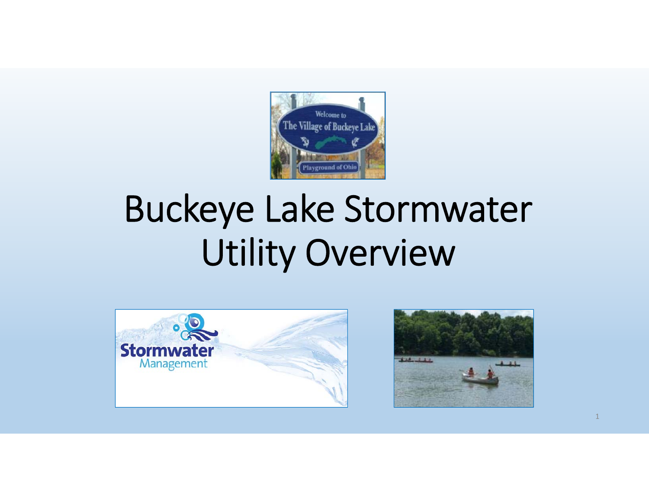

# Buckeye Lake Stormwater Utility Overview



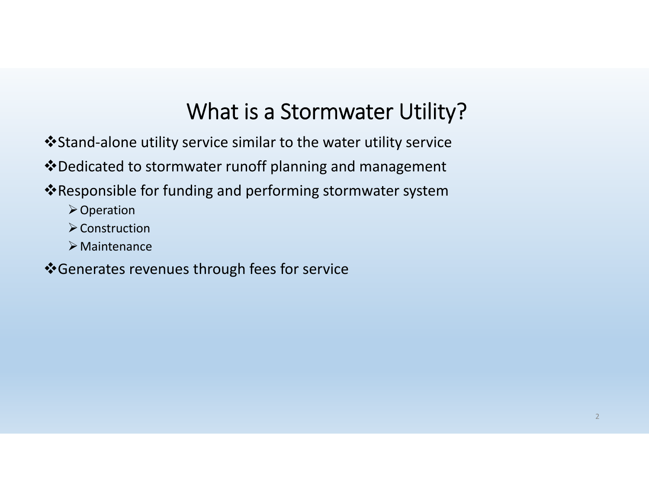### What is <sup>a</sup> Stormwater Utility?

- Stand‐alone utility service similar to the water utility service
- Dedicated to stormwater runoff planning and management
- Responsible for funding and performing stormwater system
	- **≻Operation**
	- $\triangleright$  Construction
	- Maintenance
- Generates revenues through fees for service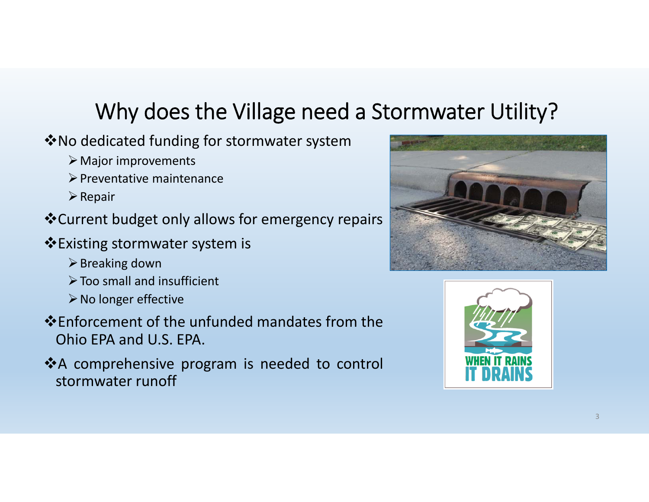# Why does the Village need <sup>a</sup> Stormwater Utility?

- $\dots$ No dedicated funding for stormwater system
	- $\triangleright$  Major improvements
	- $\triangleright$  Preventative maintenance
	- $\triangleright$  Repair
- Current budget only allows for emergency repairs
- Existing stormwater system is
	- $\triangleright$  Breaking down
	- $\triangleright$  Too small and insufficient
	- $\triangleright$  No longer effective
- Enforcement of the unfunded mandates from theOhio EPA and U.S. EPA.
- <sup>A</sup> comprehensive program is needed to control stormwater runoff



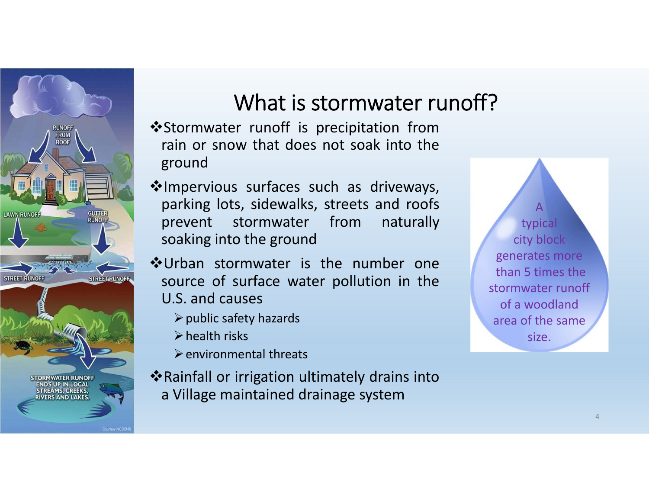

### What is stormwater runoff?

- $•$  **Stormwater runoff is precipitation from** rain or snow that does not soak into theground
- Impervious surfaces such as driveways, parking lots, sidewalks, streets and roofs prevent stormwater from naturally soaking into the ground
- Urban stormwater is the number onesource of surface water pollution in the U.S. and causes
	- $\triangleright$  public safety hazards
	- $\triangleright$  health risks
	- $\triangleright$  environmental threats
- Rainfall or irrigation ultimately drains into <sup>a</sup> Village maintained drainage system

Atypical city block generates more than 5 times the stormwater runoff of a woodlandarea of the same size.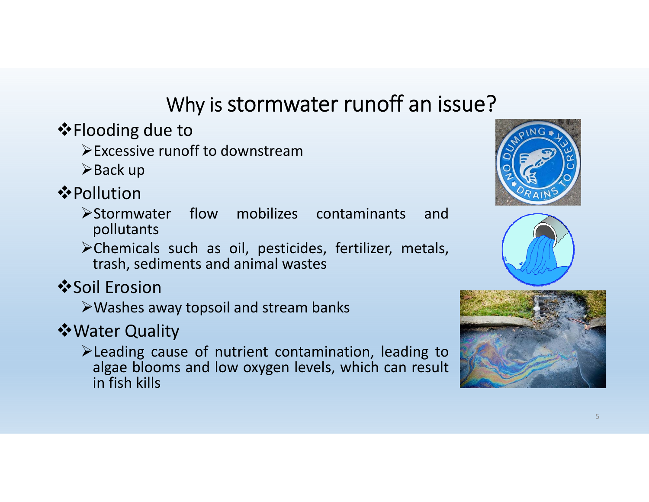### Why is stormwater runoff an issue?

 $\diamond$ **Flooding due to** 

Excessive runoff to downstream

 $\triangleright$  Back up

**❖ Pollution** 

Stormwater flow mobilizes contaminants andpollutants

Chemicals such as oil, pesticides, fertilizer, metals, trash, sediments and animal wastes

**❖Soil Erosion** 

Washes away topsoil and stream banks

Water Quality

Leading cause of nutrient contamination, leading to algae blooms and low oxygen levels, which can result in fish kills





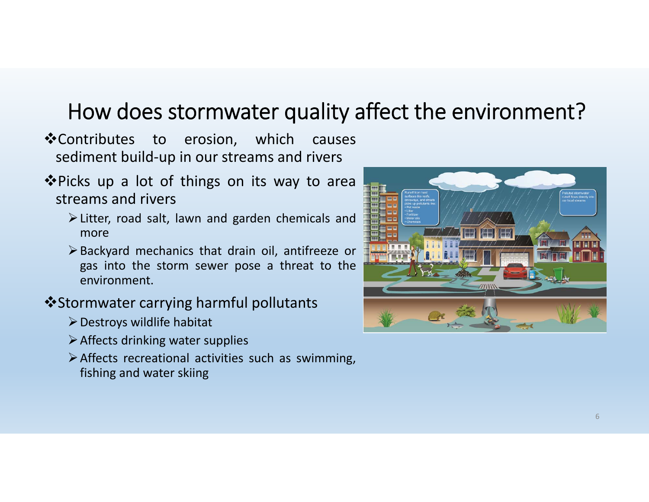### How does stormwater quality affect the environment?

- ❖ Contributes to erosion, which causes sediment build‐up in our streams and rivers
- ❖ Picks up a lot of things on its way to area streams and rivers
	- Litter, road salt, lawn and garden chemicals and more
	- Backyard mechanics that drain oil, antifreeze or gas into the storm sewer pose <sup>a</sup> threat to the environment.

#### Stormwater carrying harmful pollutants

- $\triangleright$  Destroys wildlife habitat
- $\triangleright$  Affects drinking water supplies
- Affects recreational activities such as swimming, fishing and water skiing

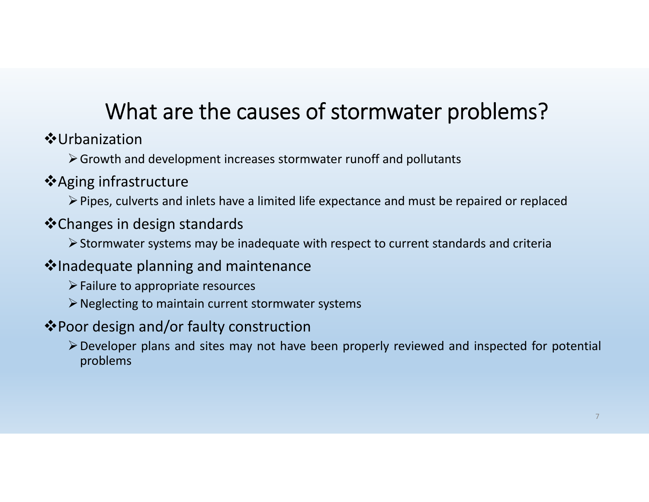# What are the causes of stormwater problems?

Urbanization

Growth and development increases stormwater runoff and pollutants

- **❖** Aging infrastructure
	- Pipes, culverts and inlets have <sup>a</sup> limited life expectance and must be repaired or replaced

### Changes in design standards

 $\triangleright$  Stormwater systems may be inadequate with respect to current standards and criteria

### **V**Inadequate planning and maintenance

- $\triangleright$  Failure to appropriate resources
- Neglecting to maintain current stormwater systems

#### Poor design and/or faulty construction

Developer plans and sites may not have been properly reviewed and inspected for potential problems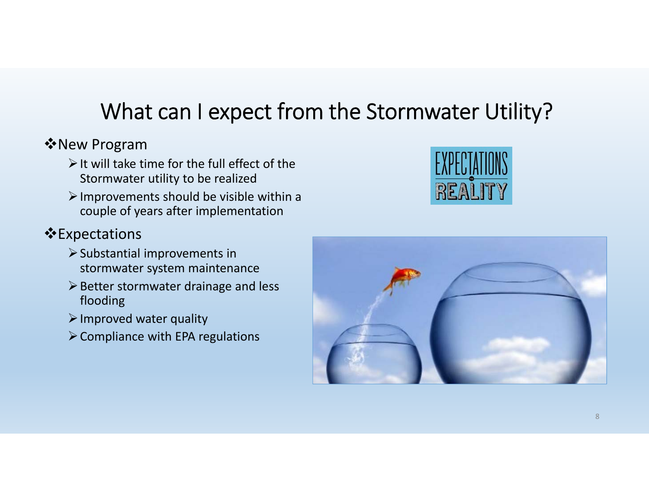# What can I expect from the Stormwater Utility?

#### New Program

- $\triangleright$  It will take time for the full effect of the Stormwater utility to be realized
- $\triangleright$  Improvements should be visible within a couple of years after implementation

#### **Expectations**

- $\triangleright$  Substantial improvements in stormwater system maintenance
- $\triangleright$  Better stormwater drainage and less flooding
- $\triangleright$  Improved water quality
- $\triangleright$  Compliance with EPA regulations



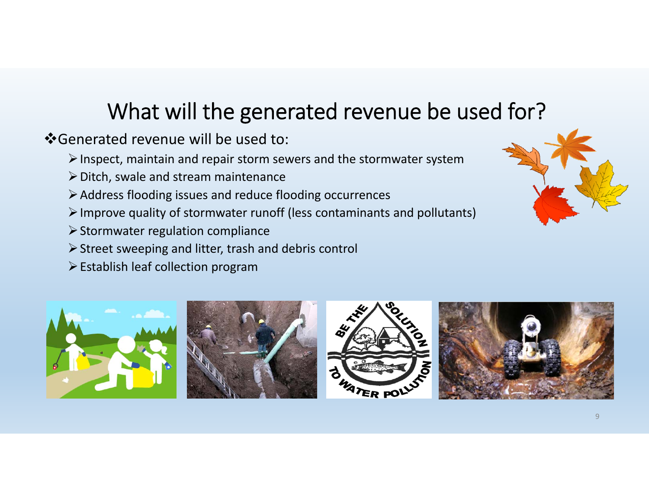### What will the generated revenue be used for?

### Generated revenue will be used to:

- $\triangleright$  Inspect, maintain and repair storm sewers and the stormwater system
- $\triangleright$  Ditch, swale and stream maintenance
- Address flooding issues and reduce flooding occurrences
- $\triangleright$  Improve quality of stormwater runoff (less contaminants and pollutants)
- $\triangleright$  Stormwater regulation compliance
- $\triangleright$  Street sweeping and litter, trash and debris control
- $\triangleright$  Establish leaf collection program









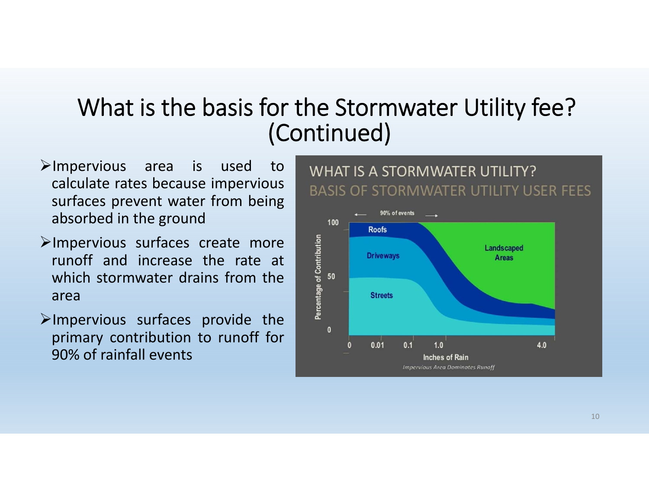### What is the basis for the Stormwater Utility fee? (Continued)

- $\triangleright$ Impervious area is used to calculate rates because impervious surfaces prevent water from being absorbed in the ground
- Impervious surfaces create more runoff and increase the rate atwhich stormwater drains from the area
- $\blacktriangleright$ Impervious surfaces provide the primary contribution to runoff for 90% of rainfall events



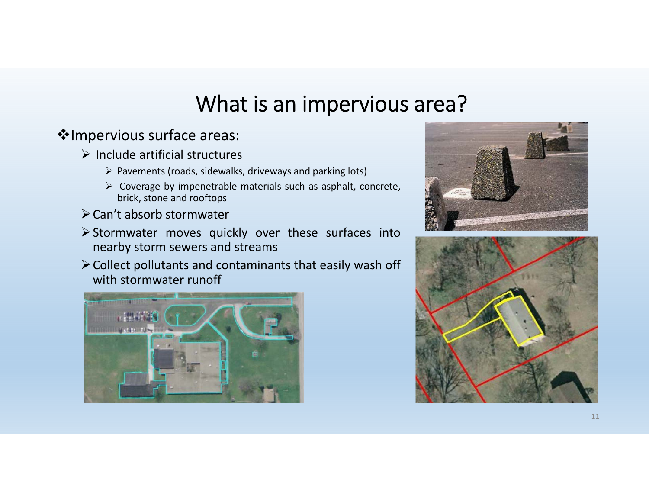### What is an impervious area?

#### \*Impervious surface areas:

- $\triangleright$  Include artificial structures
	- $\triangleright$  Pavements (roads, sidewalks, driveways and parking lots)
	- $\triangleright$  Coverage by impenetrable materials such as asphalt, concrete, brick, stone and rooftops
- Can't absorb stormwater
- $\triangleright$  Stormwater moves quickly over these surfaces into nearby storm sewers and streams
- $\triangleright$  Collect pollutants and contaminants that easily wash off with stormwater runoff





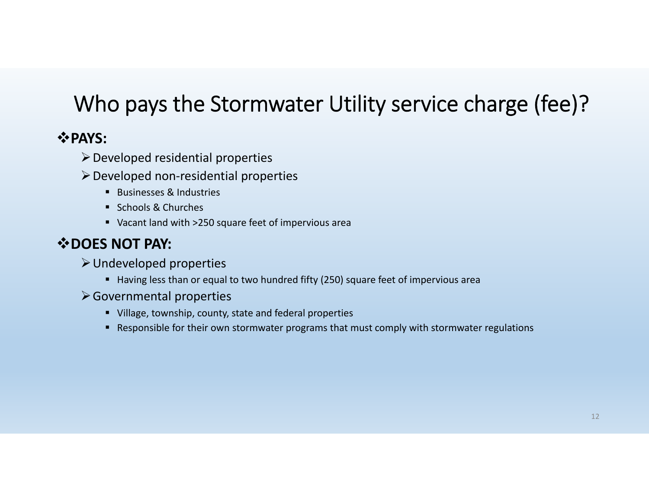# Who pays the Stormwater Utility service charge (fee)?

#### **PAYS:**

- $\triangleright$  Developed residential properties
- Developed non‐residential properties
	- Businesses & Industries
	- Schools & Churches
	- Vacant land with >250 square feet of impervious area

#### **DOES NOT PAY:**

- Undeveloped properties
	- Having less than or equal to two hundred fifty (250) square feet of impervious area
- Governmental properties
	- Village, township, county, state and federal properties
	- Responsible for their own stormwater programs that must comply with stormwater regulations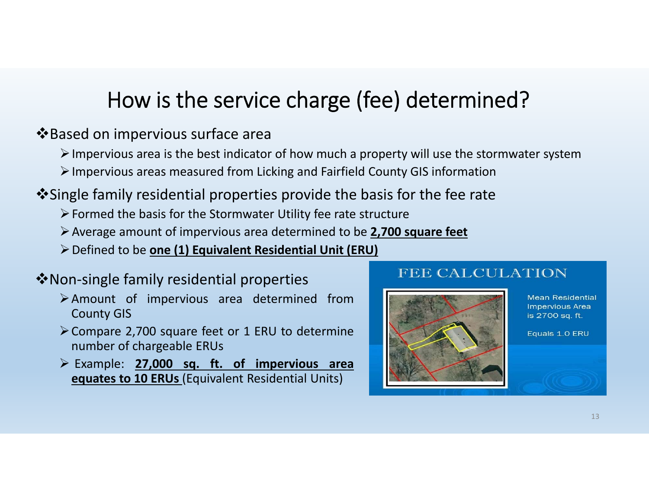### How is the service charge (fee) determined?

#### **V**Based on impervious surface area

- $\triangleright$  Impervious area is the best indicator of how much a property will use the stormwater system
- Impervious areas measured from Licking and Fairfield County GIS information
- Single family residential properties provide the basis for the fee rate
	- $\triangleright$  Formed the basis for the Stormwater Utility fee rate structure
	- Average amount of impervious area determined to be **2,700 square feet**
	- Defined to be **one (1) Equivalent Residential Unit (ERU)**

#### **V** Non-single family residential properties

- Amount of impervious area determined from County GIS
- Compare 2,700 square feet or <sup>1</sup> ERU to determine number of chargeable ERUs
- Example: **27,000 sq. ft. of impervious area equates to 10 ERUs** (Equivalent Residential Units)

#### **FEE CALCULATION**



**Mean Residential Impervious Area** is 2700 sq. ft.

Equals 1.0 ERU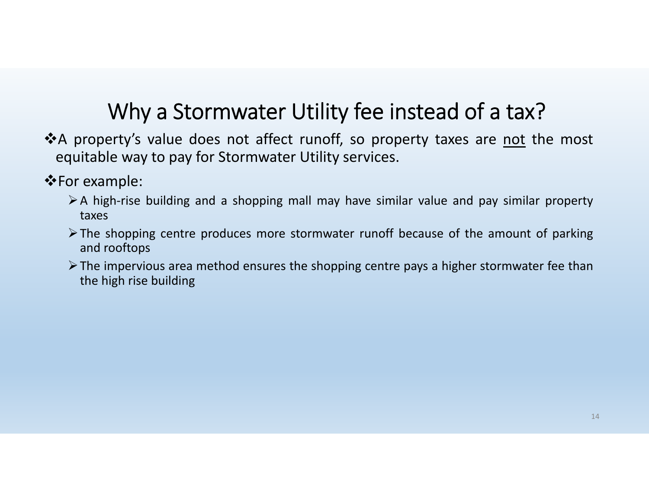### Why <sup>a</sup> Stormwater Utility fee instead of <sup>a</sup> tax?

- \*A property's value does not affect runoff, so property taxes are not the most equitable way to pay for Stormwater Utility services.
- For example:
	- <sup>A</sup> high‐rise building and <sup>a</sup> shopping mall may have similar value and pay similar property taxes
	- $\triangleright$  The shopping centre produces more stormwater runoff because of the amount of parking and rooftops
	- $\triangleright$  The impervious area method ensures the shopping centre pays a higher stormwater fee than the high rise building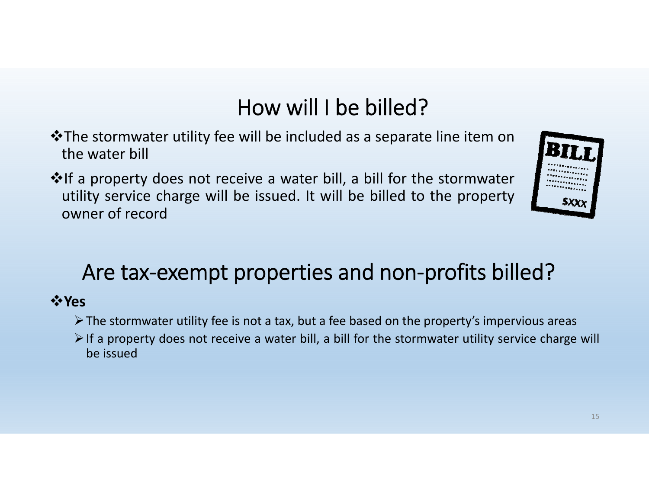# How will I be billed?

- The stormwater utility fee will be included as <sup>a</sup> separate line item on the water bill
- ❖If a property does not receive a water bill, a bill for the stormwater utility service charge will be issued. It will be billed to the property owner of record



### Are tax-exempt properties and non-profits billed?

#### **Yes**

- $\triangleright$  The stormwater utility fee is not a tax, but a fee based on the property's impervious areas
- $\triangleright$  If a property does not receive a water bill, a bill for the stormwater utility service charge will be issued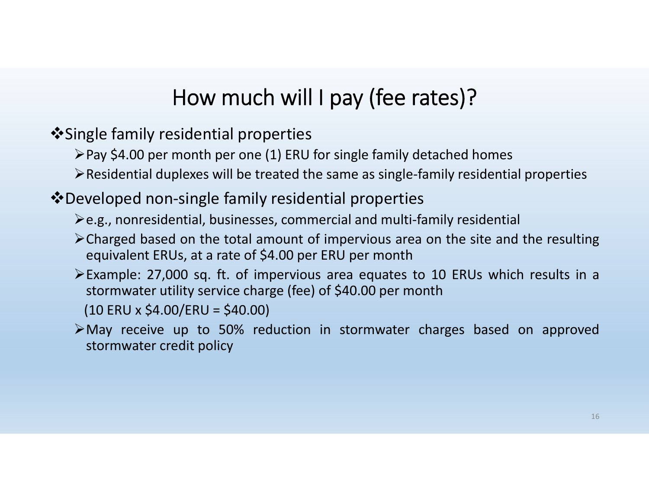# How much will I pay (fee rates)?

 $\dots$  Single family residential properties

- $\triangleright$  Pay \$4.00 per month per one (1) ERU for single family detached homes
- Residential duplexes will be treated the same as single‐family residential properties

### Developed non‐single family residential properties

- $\geq$ e.g., nonresidential, businesses, commercial and multi-family residential
- Charged based on the total amount of impervious area on the site and the resulting equivalent ERUs, at <sup>a</sup> rate of \$4.00 per ERU per month
- Example: 27,000 sq. ft. of impervious area equates to 10 ERUs which results in <sup>a</sup> stormwater utility service charge (fee) of \$40.00 per month
	- $(10$  ERU x \$4.00/ERU = \$40.00)
- May receive up to 50% reduction in stormwater charges based on approved stormwater credit policy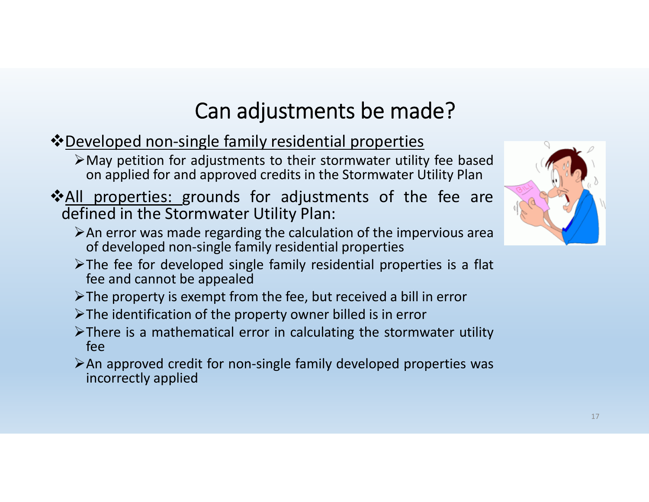# Can adjustments be made?

- $\dots$  Developed non-single family residential properties
	- May petition for adjustments to their stormwater utility fee based on applied for and approved credits in the Stormwater Utility Plan
- All properties: grounds for adjustments of the fee are defined in the Stormwater Utility Plan:
	- $\triangleright$  An error was made regarding the calculation of the impervious area of developed non‐single family residential properties
	- $\triangleright$ The fee for developed single family residential properties is a flat fee and cannot be appealed
	- $\triangleright$  The property is exempt from the fee, but received a bill in error
	- $\triangleright$  The identification of the property owner billed is in error
	- $\triangleright$  There is a mathematical error in calculating the stormwater utility fee
	- An approved credit for non‐single family developed properties was incorrectly applied

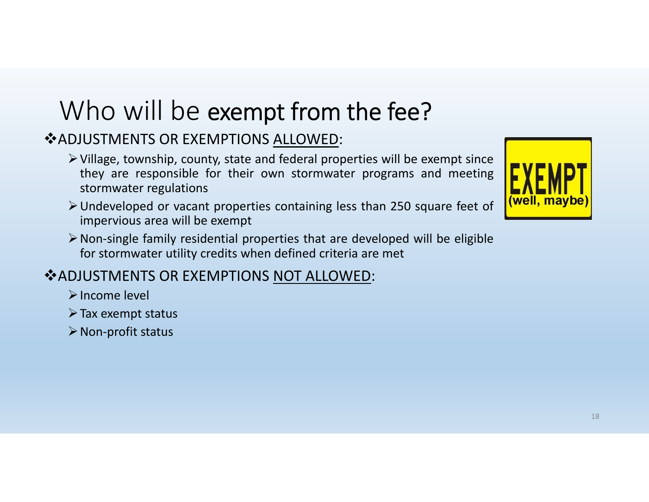# Who will be exempt from the fee?

### **❖ADJUSTMENTS OR EXEMPTIONS ALLOWED:**

- $\triangleright$  Village, township, county, state and federal properties will be exempt since they are responsible for their own stormwater programs and meeting stormwater regulations
- Undeveloped or vacant properties containing less than 250 square feet of impervious area will be exempt
- Non‐single family residential properties that are developed will be eligible for stormwater utility credits when defined criteria are met

#### **❖ ADJUSTMENTS OR EXEMPTIONS NOT ALLOWED:**

- Income level
- $\triangleright$  Tax exempt status
- $\triangleright$  Non-profit status

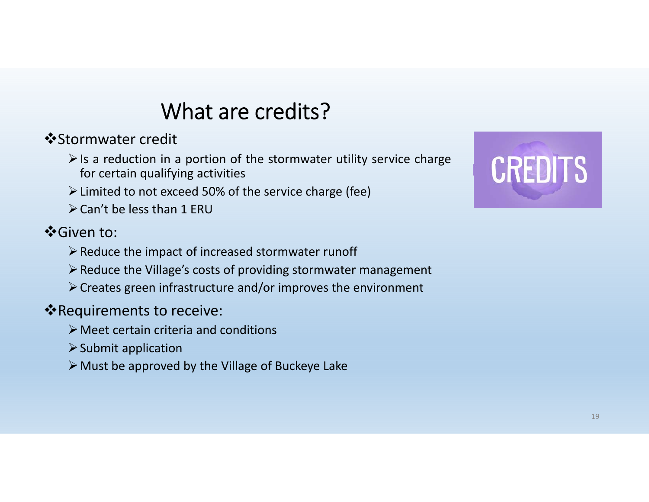### What are credits?

 $\dots$ **Stormwater credit** 

- $\triangleright$  Is a reduction in a portion of the stormwater utility service charge for certain qualifying activities
- Limited to not exceed 50% of the service charge (fee)
- $\triangleright$  Can't be less than 1 ERU

### $\dots$  **Given to:**

- $\triangleright$  Reduce the impact of increased stormwater runoff
- $\triangleright$  Reduce the Village's costs of providing stormwater management
- Creates green infrastructure and/or improves the environment

### \*Requirements to receive:

- Meet certain criteria and conditions
- $\triangleright$  Submit application
- $\triangleright$  Must be approved by the Village of Buckeye Lake